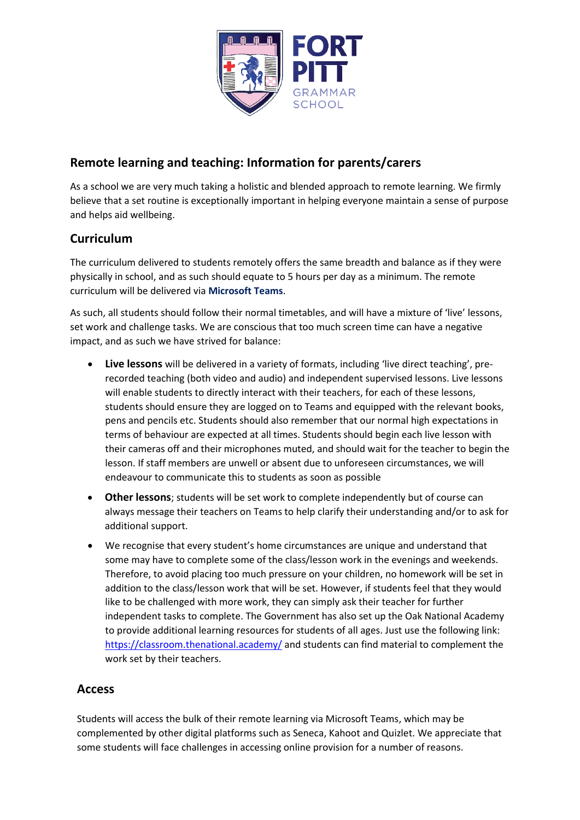

# **Remote learning and teaching: Information for parents/carers**

As a school we are very much taking a holistic and blended approach to remote learning. We firmly believe that a set routine is exceptionally important in helping everyone maintain a sense of purpose and helps aid wellbeing.

# **Curriculum**

The curriculum delivered to students remotely offers the same breadth and balance as if they were physically in school, and as such should equate to 5 hours per day as a minimum. The remote curriculum will be delivered via **Microsoft Teams**.

As such, all students should follow their normal timetables, and will have a mixture of 'live' lessons, set work and challenge tasks. We are conscious that too much screen time can have a negative impact, and as such we have strived for balance:

- **Live lessons** will be delivered in a variety of formats, including 'live direct teaching', prerecorded teaching (both video and audio) and independent supervised lessons. Live lessons will enable students to directly interact with their teachers, for each of these lessons, students should ensure they are logged on to Teams and equipped with the relevant books, pens and pencils etc. Students should also remember that our normal high expectations in terms of behaviour are expected at all times. Students should begin each live lesson with their cameras off and their microphones muted, and should wait for the teacher to begin the lesson. If staff members are unwell or absent due to unforeseen circumstances, we will endeavour to communicate this to students as soon as possible
- **Other lessons**; students will be set work to complete independently but of course can always message their teachers on Teams to help clarify their understanding and/or to ask for additional support.
- We recognise that every student's home circumstances are unique and understand that some may have to complete some of the class/lesson work in the evenings and weekends. Therefore, to avoid placing too much pressure on your children, no homework will be set in addition to the class/lesson work that will be set. However, if students feel that they would like to be challenged with more work, they can simply ask their teacher for further independent tasks to complete. The Government has also set up the Oak National Academy to provide additional learning resources for students of all ages. Just use the following link: <https://classroom.thenational.academy/> and students can find material to complement the work set by their teachers.

# **Access**

Students will access the bulk of their remote learning via Microsoft Teams, which may be complemented by other digital platforms such as Seneca, Kahoot and Quizlet. We appreciate that some students will face challenges in accessing online provision for a number of reasons.